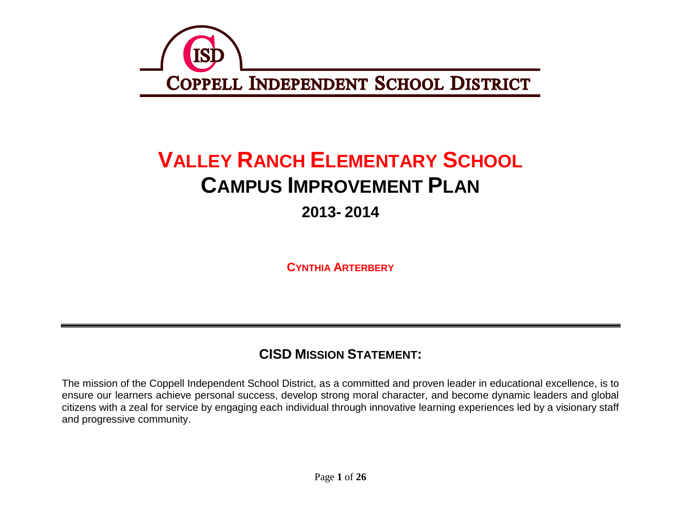

# **VALLEY RANCH ELEMENTARY SCHOOL CAMPUS IMPROVEMENT PLAN 2013- 2014**

**CYNTHIA ARTERBERY**

## **CISD MISSION STATEMENT:**

The mission of the Coppell Independent School District, as a committed and proven leader in educational excellence, is to ensure our learners achieve personal success, develop strong moral character, and become dynamic leaders and global citizens with a zeal for service by engaging each individual through innovative learning experiences led by a visionary staff and progressive community.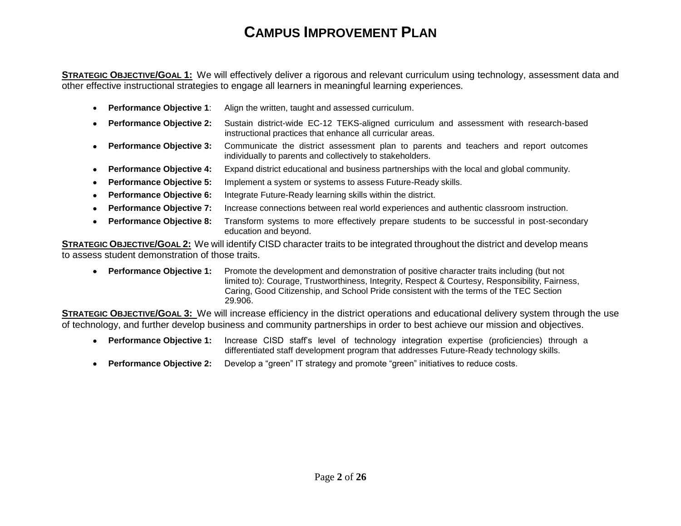## **CAMPUS IMPROVEMENT PLAN**

**STRATEGIC OBJECTIVE/GOAL 1:** We will effectively deliver a rigorous and relevant curriculum using technology, assessment data and other effective instructional strategies to engage all learners in meaningful learning experiences.

- **Performance Objective 1**: Align the written, taught and assessed curriculum.
- **Performance Objective 2:** Sustain district-wide EC-12 TEKS-aligned curriculum and assessment with research-based instructional practices that enhance all curricular areas.
- **Performance Objective 3:** Communicate the district assessment plan to parents and teachers and report outcomes individually to parents and collectively to stakeholders.
- **Performance Objective 4:** Expand district educational and business partnerships with the local and global community.
- **Performance Objective 5:** Implement a system or systems to assess Future-Ready skills.
- **Performance Objective 6:** Integrate Future-Ready learning skills within the district.
- **Performance Objective 7:** Increase connections between real world experiences and authentic classroom instruction.
- **Performance Objective 8:** Transform systems to more effectively prepare students to be successful in post-secondary education and beyond.

**STRATEGIC OBJECTIVE/GOAL 2:** We will identify CISD character traits to be integrated throughout the district and develop means to assess student demonstration of those traits.

 **Performance Objective 1:** Promote the development and demonstration of positive character traits including (but not limited to): Courage, Trustworthiness, Integrity, Respect & Courtesy, Responsibility, Fairness, Caring, Good Citizenship, and School Pride consistent with the terms of the TEC Section 29.906.

**STRATEGIC OBJECTIVE/GOAL 3:** We will increase efficiency in the district operations and educational delivery system through the use of technology, and further develop business and community partnerships in order to best achieve our mission and objectives.

- **Performance Objective 1:** Increase CISD staff's level of technology integration expertise (proficiencies) through a differentiated staff development program that addresses Future-Ready technology skills.
- **Performance Objective 2:** Develop a "green" IT strategy and promote "green" initiatives to reduce costs.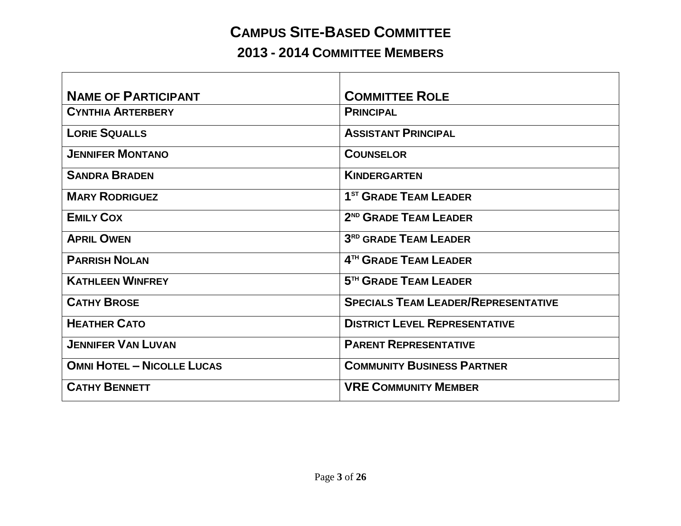## **CAMPUS SITE-BASED COMMITTEE**

## **2013 - 2014 COMMITTEE MEMBERS**

| <b>NAME OF PARTICIPANT</b>        | <b>COMMITTEE ROLE</b>                      |
|-----------------------------------|--------------------------------------------|
| <b>CYNTHIA ARTERBERY</b>          | <b>PRINCIPAL</b>                           |
| <b>LORIE SQUALLS</b>              | <b>ASSISTANT PRINCIPAL</b>                 |
| <b>JENNIFER MONTANO</b>           | <b>COUNSELOR</b>                           |
| <b>SANDRA BRADEN</b>              | <b>KINDERGARTEN</b>                        |
| <b>MARY RODRIGUEZ</b>             | 1 <sup>ST</sup> GRADE TEAM LEADER          |
| <b>EMILY COX</b>                  | 2 <sup>ND</sup> GRADE TEAM LEADER          |
| <b>APRIL OWEN</b>                 | 3 <sup>RD</sup> GRADE TEAM LEADER          |
| <b>PARRISH NOLAN</b>              | 4TH GRADE TEAM LEADER                      |
| <b>KATHLEEN WINFREY</b>           | 5 <sup>TH</sup> GRADE TEAM LEADER          |
| <b>CATHY BROSE</b>                | <b>SPECIALS TEAM LEADER/REPRESENTATIVE</b> |
| <b>HEATHER CATO</b>               | <b>DISTRICT LEVEL REPRESENTATIVE</b>       |
| <b>JENNIFER VAN LUVAN</b>         | <b>PARENT REPRESENTATIVE</b>               |
| <b>OMNI HOTEL - NICOLLE LUCAS</b> | <b>COMMUNITY BUSINESS PARTNER</b>          |
| <b>CATHY BENNETT</b>              | <b>VRE COMMUNITY MEMBER</b>                |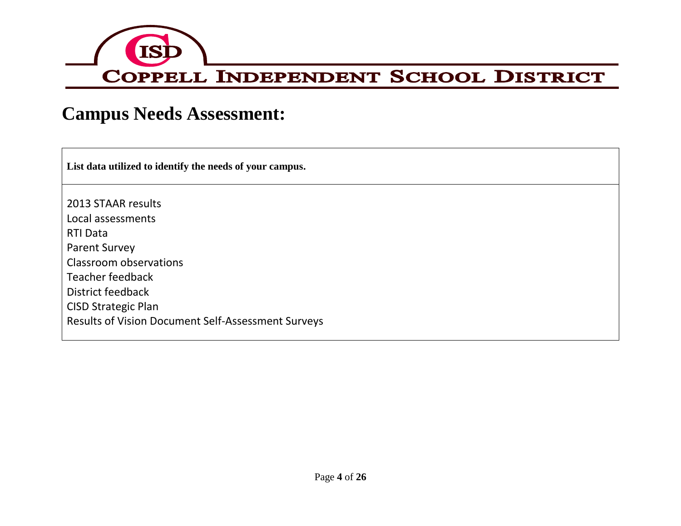

## **Campus Needs Assessment:**

**List data utilized to identify the needs of your campus.**

2013 STAAR results Local assessments RTI Data Parent Survey Classroom observations Teacher feedback District feedback CISD Strategic Plan Results of Vision Document Self-Assessment Surveys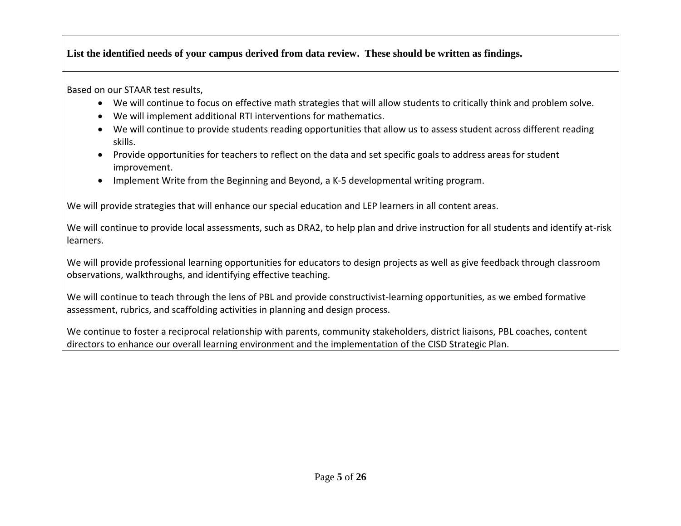**List the identified needs of your campus derived from data review. These should be written as findings.**

Based on our STAAR test results,

- We will continue to focus on effective math strategies that will allow students to critically think and problem solve.
- We will implement additional RTI interventions for mathematics.
- We will continue to provide students reading opportunities that allow us to assess student across different reading skills.
- Provide opportunities for teachers to reflect on the data and set specific goals to address areas for student improvement.
- Implement Write from the Beginning and Beyond, a K-5 developmental writing program.

We will provide strategies that will enhance our special education and LEP learners in all content areas.

We will continue to provide local assessments, such as DRA2, to help plan and drive instruction for all students and identify at-risk learners.

We will provide professional learning opportunities for educators to design projects as well as give feedback through classroom observations, walkthroughs, and identifying effective teaching.

We will continue to teach through the lens of PBL and provide constructivist-learning opportunities, as we embed formative assessment, rubrics, and scaffolding activities in planning and design process.

We continue to foster a reciprocal relationship with parents, community stakeholders, district liaisons, PBL coaches, content directors to enhance our overall learning environment and the implementation of the CISD Strategic Plan.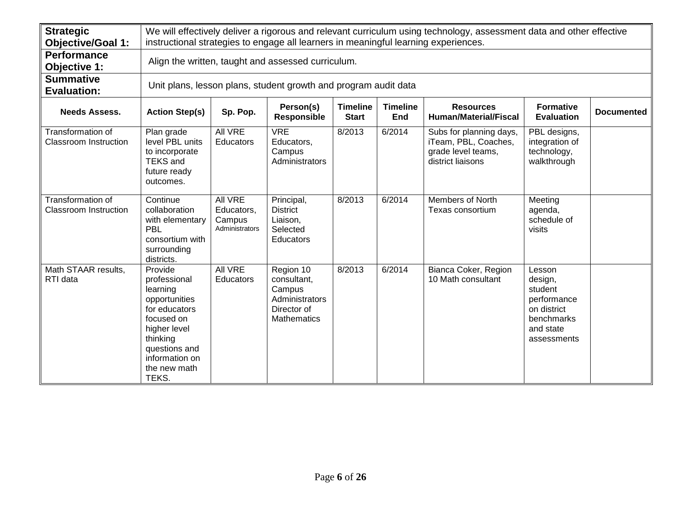| <b>Strategic</b><br><b>Objective/Goal 1:</b>             |                                                                                                                                                                             | We will effectively deliver a rigorous and relevant curriculum using technology, assessment data and other effective<br>instructional strategies to engage all learners in meaningful learning experiences.                |                                                                                           |        |        |                                                                                            |                                                                                                      |  |  |  |
|----------------------------------------------------------|-----------------------------------------------------------------------------------------------------------------------------------------------------------------------------|----------------------------------------------------------------------------------------------------------------------------------------------------------------------------------------------------------------------------|-------------------------------------------------------------------------------------------|--------|--------|--------------------------------------------------------------------------------------------|------------------------------------------------------------------------------------------------------|--|--|--|
| <b>Performance</b><br><b>Objective 1:</b>                |                                                                                                                                                                             | Align the written, taught and assessed curriculum.                                                                                                                                                                         |                                                                                           |        |        |                                                                                            |                                                                                                      |  |  |  |
| <b>Summative</b><br><b>Evaluation:</b>                   |                                                                                                                                                                             |                                                                                                                                                                                                                            | Unit plans, lesson plans, student growth and program audit data                           |        |        |                                                                                            |                                                                                                      |  |  |  |
| <b>Needs Assess.</b>                                     | <b>Action Step(s)</b>                                                                                                                                                       | <b>Timeline</b><br><b>Timeline</b><br><b>Formative</b><br>Person(s)<br><b>Resources</b><br>Sp. Pop.<br><b>Documented</b><br>Responsible<br><b>Human/Material/Fiscal</b><br><b>Start</b><br><b>End</b><br><b>Evaluation</b> |                                                                                           |        |        |                                                                                            |                                                                                                      |  |  |  |
| Transformation of<br><b>Classroom Instruction</b>        | Plan grade<br>level PBL units<br>to incorporate<br><b>TEKS</b> and<br>future ready<br>outcomes.                                                                             | All VRE<br><b>Educators</b>                                                                                                                                                                                                | <b>VRE</b><br>Educators,<br>Campus<br>Administrators                                      | 8/2013 | 6/2014 | Subs for planning days,<br>iTeam, PBL, Coaches,<br>grade level teams,<br>district liaisons | PBL designs,<br>integration of<br>technology,<br>walkthrough                                         |  |  |  |
| <b>Transformation of</b><br><b>Classroom Instruction</b> | Continue<br>collaboration<br>with elementary<br>PBL<br>consortium with<br>surrounding<br>districts.                                                                         | <b>All VRE</b><br>Educators,<br>Campus<br>Administrators                                                                                                                                                                   | Principal,<br><b>District</b><br>Liaison,<br>Selected<br>Educators                        | 8/2013 | 6/2014 | <b>Members of North</b><br>Texas consortium                                                | Meeting<br>agenda,<br>schedule of<br>visits                                                          |  |  |  |
| Math STAAR results,<br>RTI data                          | Provide<br>professional<br>learning<br>opportunities<br>for educators<br>focused on<br>higher level<br>thinking<br>questions and<br>information on<br>the new math<br>TEKS. | <b>All VRE</b><br><b>Educators</b>                                                                                                                                                                                         | Region 10<br>consultant,<br>Campus<br>Administrators<br>Director of<br><b>Mathematics</b> | 8/2013 | 6/2014 | Bianca Coker, Region<br>10 Math consultant                                                 | Lesson<br>design,<br>student<br>performance<br>on district<br>benchmarks<br>and state<br>assessments |  |  |  |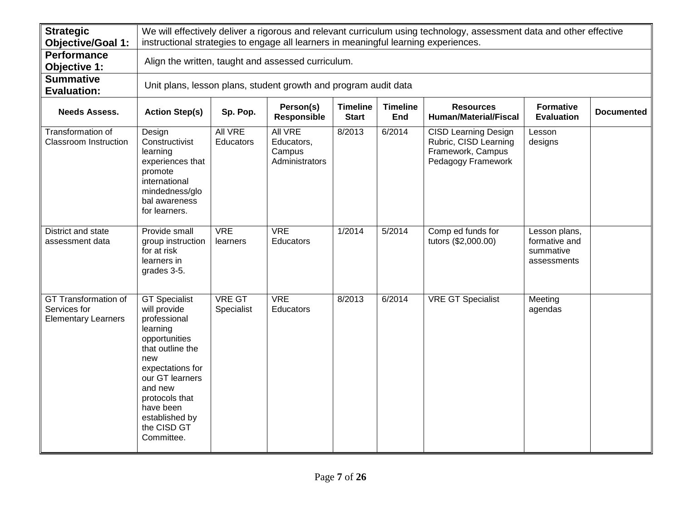| <b>Strategic</b><br><b>Objective/Goal 1:</b>                       |                                                                                                                                                                                                                                              | We will effectively deliver a rigorous and relevant curriculum using technology, assessment data and other effective<br>instructional strategies to engage all learners in meaningful learning experiences.                |                                                                 |        |        |                                                                                                 |                                                            |  |  |  |  |
|--------------------------------------------------------------------|----------------------------------------------------------------------------------------------------------------------------------------------------------------------------------------------------------------------------------------------|----------------------------------------------------------------------------------------------------------------------------------------------------------------------------------------------------------------------------|-----------------------------------------------------------------|--------|--------|-------------------------------------------------------------------------------------------------|------------------------------------------------------------|--|--|--|--|
| <b>Performance</b><br>Objective 1:                                 | Align the written, taught and assessed curriculum.                                                                                                                                                                                           |                                                                                                                                                                                                                            |                                                                 |        |        |                                                                                                 |                                                            |  |  |  |  |
| <b>Summative</b><br><b>Evaluation:</b>                             |                                                                                                                                                                                                                                              |                                                                                                                                                                                                                            | Unit plans, lesson plans, student growth and program audit data |        |        |                                                                                                 |                                                            |  |  |  |  |
| <b>Needs Assess.</b>                                               | <b>Action Step(s)</b>                                                                                                                                                                                                                        | Person(s)<br><b>Timeline</b><br><b>Timeline</b><br><b>Resources</b><br><b>Formative</b><br>Sp. Pop.<br><b>Documented</b><br><b>Human/Material/Fiscal</b><br>Responsible<br><b>Start</b><br><b>End</b><br><b>Evaluation</b> |                                                                 |        |        |                                                                                                 |                                                            |  |  |  |  |
| Transformation of<br><b>Classroom Instruction</b>                  | Design<br>Constructivist<br>learning<br>experiences that<br>promote<br>international<br>mindedness/glo<br>bal awareness<br>for learners.                                                                                                     | All VRE<br>Educators                                                                                                                                                                                                       | All VRE<br>Educators,<br>Campus<br>Administrators               | 8/2013 | 6/2014 | <b>CISD Learning Design</b><br>Rubric, CISD Learning<br>Framework, Campus<br>Pedagogy Framework | Lesson<br>designs                                          |  |  |  |  |
| District and state<br>assessment data                              | Provide small<br>group instruction<br>for at risk<br>learners in<br>grades 3-5.                                                                                                                                                              | <b>VRE</b><br>learners                                                                                                                                                                                                     | <b>VRE</b><br>Educators                                         | 1/2014 | 5/2014 | Comp ed funds for<br>tutors (\$2,000.00)                                                        | Lesson plans,<br>formative and<br>summative<br>assessments |  |  |  |  |
| GT Transformation of<br>Services for<br><b>Elementary Learners</b> | <b>GT Specialist</b><br>will provide<br>professional<br>learning<br>opportunities<br>that outline the<br>new<br>expectations for<br>our GT learners<br>and new<br>protocols that<br>have been<br>established by<br>the CISD GT<br>Committee. | <b>VRE GT</b><br>Specialist                                                                                                                                                                                                | <b>VRE</b><br>Educators                                         | 8/2013 | 6/2014 | <b>VRE GT Specialist</b>                                                                        | Meeting<br>agendas                                         |  |  |  |  |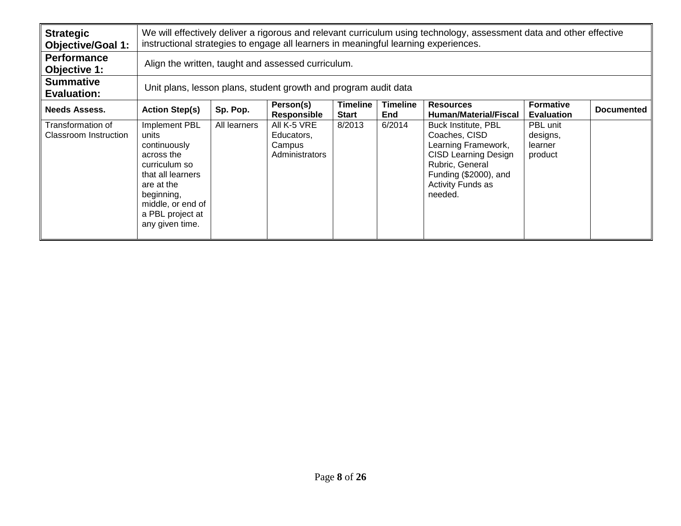| <b>Strategic</b><br><b>Objective/Goal 1:</b> |                                                                                                                                                                                    | We will effectively deliver a rigorous and relevant curriculum using technology, assessment data and other effective<br>instructional strategies to engage all learners in meaningful learning experiences.                       |                                                       |        |        |                                                                                                                                                                        |                                            |  |  |  |
|----------------------------------------------|------------------------------------------------------------------------------------------------------------------------------------------------------------------------------------|-----------------------------------------------------------------------------------------------------------------------------------------------------------------------------------------------------------------------------------|-------------------------------------------------------|--------|--------|------------------------------------------------------------------------------------------------------------------------------------------------------------------------|--------------------------------------------|--|--|--|
| <b>Performance</b><br>Objective 1:           | Align the written, taught and assessed curriculum.                                                                                                                                 |                                                                                                                                                                                                                                   |                                                       |        |        |                                                                                                                                                                        |                                            |  |  |  |
| <b>Summative</b><br><b>Evaluation:</b>       | Unit plans, lesson plans, student growth and program audit data                                                                                                                    |                                                                                                                                                                                                                                   |                                                       |        |        |                                                                                                                                                                        |                                            |  |  |  |
| <b>Needs Assess.</b>                         | <b>Action Step(s)</b>                                                                                                                                                              | <b>Timeline</b><br><b>Formative</b><br><b>Timeline</b><br>Person(s)<br><b>Resources</b><br>Sp. Pop.<br><b>Documented</b><br><b>Responsible</b><br><b>End</b><br><b>Human/Material/Fiscal</b><br><b>Start</b><br><b>Evaluation</b> |                                                       |        |        |                                                                                                                                                                        |                                            |  |  |  |
| Transformation of<br>Classroom Instruction   | Implement PBL<br>units<br>continuously<br>across the<br>curriculum so<br>that all learners<br>are at the<br>beginning,<br>middle, or end of<br>a PBL project at<br>any given time. | All learners                                                                                                                                                                                                                      | All K-5 VRE<br>Educators,<br>Campus<br>Administrators | 8/2013 | 6/2014 | Buck Institute, PBL<br>Coaches, CISD<br>Learning Framework,<br><b>CISD Learning Design</b><br>Rubric, General<br>Funding (\$2000), and<br>Activity Funds as<br>needed. | PBL unit<br>designs,<br>learner<br>product |  |  |  |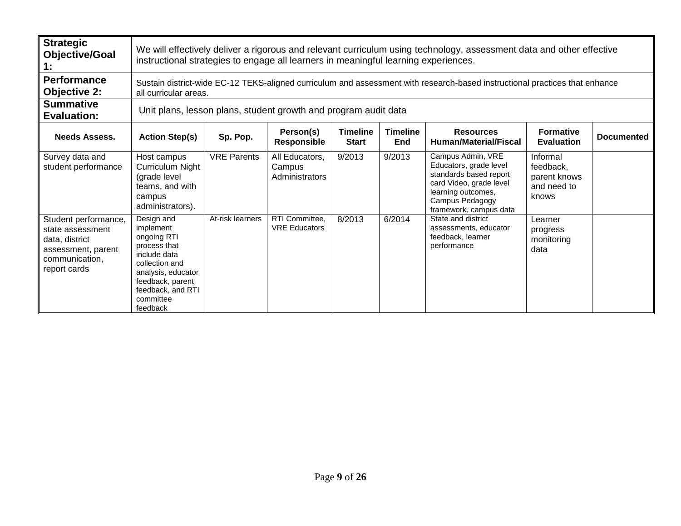| <b>Strategic</b><br><b>Objective/Goal</b><br>1:                                                                    |                                                                                                                                                                                  | We will effectively deliver a rigorous and relevant curriculum using technology, assessment data and other effective<br>instructional strategies to engage all learners in meaningful learning experiences. |                                            |                                 |                        |                                                                                                                                                                     |                                                               |                   |  |  |
|--------------------------------------------------------------------------------------------------------------------|----------------------------------------------------------------------------------------------------------------------------------------------------------------------------------|-------------------------------------------------------------------------------------------------------------------------------------------------------------------------------------------------------------|--------------------------------------------|---------------------------------|------------------------|---------------------------------------------------------------------------------------------------------------------------------------------------------------------|---------------------------------------------------------------|-------------------|--|--|
| <b>Performance</b><br><b>Objective 2:</b>                                                                          | all curricular areas.                                                                                                                                                            |                                                                                                                                                                                                             |                                            |                                 |                        | Sustain district-wide EC-12 TEKS-aligned curriculum and assessment with research-based instructional practices that enhance                                         |                                                               |                   |  |  |
| <b>Summative</b><br><b>Evaluation:</b>                                                                             | Unit plans, lesson plans, student growth and program audit data                                                                                                                  |                                                                                                                                                                                                             |                                            |                                 |                        |                                                                                                                                                                     |                                                               |                   |  |  |
| <b>Needs Assess.</b>                                                                                               | <b>Action Step(s)</b>                                                                                                                                                            | Sp. Pop.                                                                                                                                                                                                    | Person(s)<br><b>Responsible</b>            | <b>Timeline</b><br><b>Start</b> | <b>Timeline</b><br>End | <b>Resources</b><br><b>Human/Material/Fiscal</b>                                                                                                                    | <b>Formative</b><br><b>Evaluation</b>                         | <b>Documented</b> |  |  |
| Survey data and<br>student performance                                                                             | Host campus<br>Curriculum Night<br>(grade level<br>teams, and with<br>campus<br>administrators).                                                                                 | <b>VRE Parents</b>                                                                                                                                                                                          | All Educators,<br>Campus<br>Administrators | 9/2013                          | 9/2013                 | Campus Admin, VRE<br>Educators, grade level<br>standards based report<br>card Video, grade level<br>learning outcomes,<br>Campus Pedagogy<br>framework, campus data | Informal<br>feedback,<br>parent knows<br>and need to<br>knows |                   |  |  |
| Student performance,<br>state assessment<br>data, district<br>assessment, parent<br>communication,<br>report cards | Design and<br>implement<br>ongoing RTI<br>process that<br>include data<br>collection and<br>analysis, educator<br>feedback, parent<br>feedback, and RTI<br>committee<br>feedback | At-risk learners                                                                                                                                                                                            | RTI Committee,<br><b>VRE Educators</b>     | 8/2013                          | 6/2014                 | State and district<br>assessments, educator<br>feedback, learner<br>performance                                                                                     | Learner<br>progress<br>monitoring<br>data                     |                   |  |  |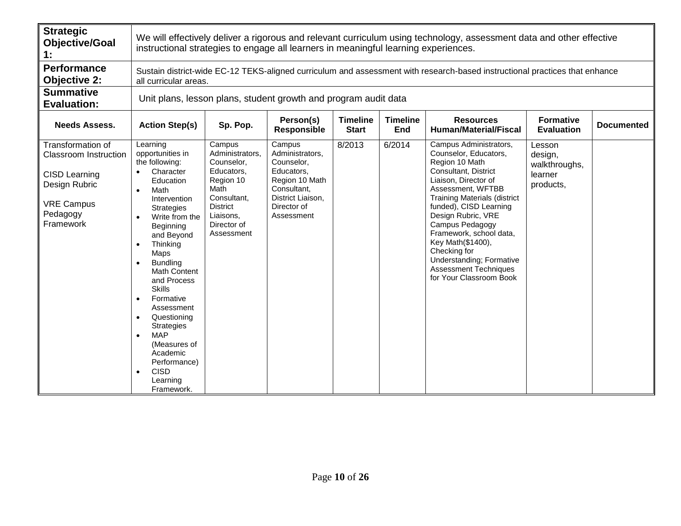| <b>Strategic</b><br><b>Objective/Goal</b><br>1:                                                                                          |                                                                                                                                                                                                                                                                                                                                                                                                                                                 | We will effectively deliver a rigorous and relevant curriculum using technology, assessment data and other effective<br>instructional strategies to engage all learners in meaningful learning experiences. |                                                                                                                                          |                                 |                        |                                                                                                                                                                                                                                                                                                                                                                                                         |                                                            |                   |  |  |
|------------------------------------------------------------------------------------------------------------------------------------------|-------------------------------------------------------------------------------------------------------------------------------------------------------------------------------------------------------------------------------------------------------------------------------------------------------------------------------------------------------------------------------------------------------------------------------------------------|-------------------------------------------------------------------------------------------------------------------------------------------------------------------------------------------------------------|------------------------------------------------------------------------------------------------------------------------------------------|---------------------------------|------------------------|---------------------------------------------------------------------------------------------------------------------------------------------------------------------------------------------------------------------------------------------------------------------------------------------------------------------------------------------------------------------------------------------------------|------------------------------------------------------------|-------------------|--|--|
| <b>Performance</b><br><b>Objective 2:</b>                                                                                                | all curricular areas.                                                                                                                                                                                                                                                                                                                                                                                                                           |                                                                                                                                                                                                             |                                                                                                                                          |                                 |                        | Sustain district-wide EC-12 TEKS-aligned curriculum and assessment with research-based instructional practices that enhance                                                                                                                                                                                                                                                                             |                                                            |                   |  |  |
| <b>Summative</b><br><b>Evaluation:</b>                                                                                                   | Unit plans, lesson plans, student growth and program audit data                                                                                                                                                                                                                                                                                                                                                                                 |                                                                                                                                                                                                             |                                                                                                                                          |                                 |                        |                                                                                                                                                                                                                                                                                                                                                                                                         |                                                            |                   |  |  |
| <b>Needs Assess.</b>                                                                                                                     | <b>Action Step(s)</b>                                                                                                                                                                                                                                                                                                                                                                                                                           | Sp. Pop.                                                                                                                                                                                                    | Person(s)<br>Responsible                                                                                                                 | <b>Timeline</b><br><b>Start</b> | <b>Timeline</b><br>End | <b>Resources</b><br><b>Human/Material/Fiscal</b>                                                                                                                                                                                                                                                                                                                                                        | <b>Formative</b><br><b>Evaluation</b>                      | <b>Documented</b> |  |  |
| Transformation of<br><b>Classroom Instruction</b><br><b>CISD Learning</b><br>Design Rubric<br><b>VRE Campus</b><br>Pedagogy<br>Framework | Learning<br>opportunities in<br>the following:<br>Character<br>Education<br>Math<br>Intervention<br><b>Strategies</b><br>Write from the<br>Beginning<br>and Beyond<br>Thinking<br>$\bullet$<br>Maps<br><b>Bundling</b><br><b>Math Content</b><br>and Process<br><b>Skills</b><br>Formative<br>Assessment<br>Questioning<br><b>Strategies</b><br><b>MAP</b><br>(Measures of<br>Academic<br>Performance)<br><b>CISD</b><br>Learning<br>Framework. | Campus<br>Administrators,<br>Counselor,<br>Educators,<br>Region 10<br>Math<br>Consultant,<br><b>District</b><br>Liaisons,<br>Director of<br>Assessment                                                      | Campus<br>Administrators,<br>Counselor,<br>Educators,<br>Region 10 Math<br>Consultant,<br>District Liaison,<br>Director of<br>Assessment | 8/2013                          | 6/2014                 | Campus Administrators,<br>Counselor, Educators,<br>Region 10 Math<br>Consultant, District<br>Liaison, Director of<br>Assessment, WFTBB<br><b>Training Materials (district</b><br>funded), CISD Learning<br>Design Rubric, VRE<br>Campus Pedagogy<br>Framework, school data,<br>Key Math(\$1400),<br>Checking for<br>Understanding; Formative<br><b>Assessment Techniques</b><br>for Your Classroom Book | Lesson<br>design,<br>walkthroughs,<br>learner<br>products, |                   |  |  |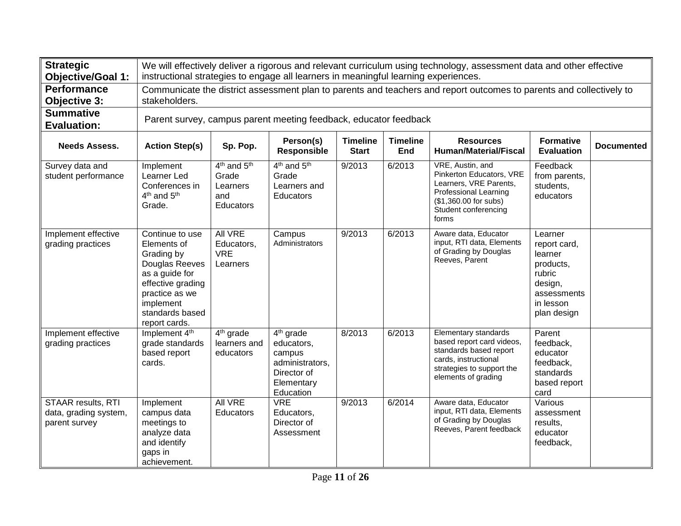| <b>Strategic</b><br><b>Objective/Goal 1:</b>                 |                                                                                                                                                                          | We will effectively deliver a rigorous and relevant curriculum using technology, assessment data and other effective<br>instructional strategies to engage all learners in meaningful learning experiences. |                                                                                                            |                                 |                        |                                                                                                                                                                  |                                                                                                                 |                   |  |  |
|--------------------------------------------------------------|--------------------------------------------------------------------------------------------------------------------------------------------------------------------------|-------------------------------------------------------------------------------------------------------------------------------------------------------------------------------------------------------------|------------------------------------------------------------------------------------------------------------|---------------------------------|------------------------|------------------------------------------------------------------------------------------------------------------------------------------------------------------|-----------------------------------------------------------------------------------------------------------------|-------------------|--|--|
| <b>Performance</b><br><b>Objective 3:</b>                    | stakeholders.                                                                                                                                                            | Communicate the district assessment plan to parents and teachers and report outcomes to parents and collectively to                                                                                         |                                                                                                            |                                 |                        |                                                                                                                                                                  |                                                                                                                 |                   |  |  |
| <b>Summative</b><br><b>Evaluation:</b>                       |                                                                                                                                                                          |                                                                                                                                                                                                             | Parent survey, campus parent meeting feedback, educator feedback                                           |                                 |                        |                                                                                                                                                                  |                                                                                                                 |                   |  |  |
| <b>Needs Assess.</b>                                         | <b>Action Step(s)</b>                                                                                                                                                    | Sp. Pop.                                                                                                                                                                                                    | Person(s)<br>Responsible                                                                                   | <b>Timeline</b><br><b>Start</b> | <b>Timeline</b><br>End | <b>Resources</b><br><b>Human/Material/Fiscal</b>                                                                                                                 | <b>Formative</b><br><b>Evaluation</b>                                                                           | <b>Documented</b> |  |  |
| Survey data and<br>student performance                       | Implement<br>Learner Led<br>Conferences in<br>4 <sup>th</sup> and 5 <sup>th</sup><br>Grade.                                                                              | 4 <sup>th</sup> and 5 <sup>th</sup><br>Grade<br>Learners<br>and<br>Educators                                                                                                                                | 4 <sup>th</sup> and 5 <sup>th</sup><br>Grade<br>Learners and<br><b>Educators</b>                           | 9/2013                          | 6/2013                 | VRE, Austin, and<br>Pinkerton Educators, VRE<br>Learners, VRE Parents,<br><b>Professional Learning</b><br>(\$1,360.00 for subs)<br>Student conferencing<br>forms | Feedback<br>from parents,<br>students,<br>educators                                                             |                   |  |  |
| Implement effective<br>grading practices                     | Continue to use<br>Elements of<br>Grading by<br>Douglas Reeves<br>as a guide for<br>effective grading<br>practice as we<br>implement<br>standards based<br>report cards. | <b>All VRE</b><br>Educators,<br><b>VRE</b><br>Learners                                                                                                                                                      | Campus<br>Administrators                                                                                   | 9/2013                          | 6/2013                 | Aware data, Educator<br>input, RTI data, Elements<br>of Grading by Douglas<br>Reeves, Parent                                                                     | Learner<br>report card,<br>learner<br>products,<br>rubric<br>design,<br>assessments<br>in lesson<br>plan design |                   |  |  |
| Implement effective<br>grading practices                     | Implement 4th<br>grade standards<br>based report<br>cards.                                                                                                               | $4th$ grade<br>learners and<br>educators                                                                                                                                                                    | 4 <sup>th</sup> grade<br>educators,<br>campus<br>administrators,<br>Director of<br>Elementary<br>Education | 8/2013                          | 6/2013                 | Elementary standards<br>based report card videos,<br>standards based report<br>cards, instructional<br>strategies to support the<br>elements of grading          | Parent<br>feedback,<br>educator<br>feedback,<br>standards<br>based report<br>card                               |                   |  |  |
| STAAR results, RTI<br>data, grading system,<br>parent survey | Implement<br>campus data<br>meetings to<br>analyze data<br>and identify<br>gaps in<br>achievement.                                                                       | All VRE<br>Educators                                                                                                                                                                                        | <b>VRE</b><br>Educators,<br>Director of<br>Assessment                                                      | 9/2013                          | 6/2014                 | Aware data, Educator<br>input, RTI data, Elements<br>of Grading by Douglas<br>Reeves, Parent feedback                                                            | Various<br>assessment<br>results.<br>educator<br>feedback,                                                      |                   |  |  |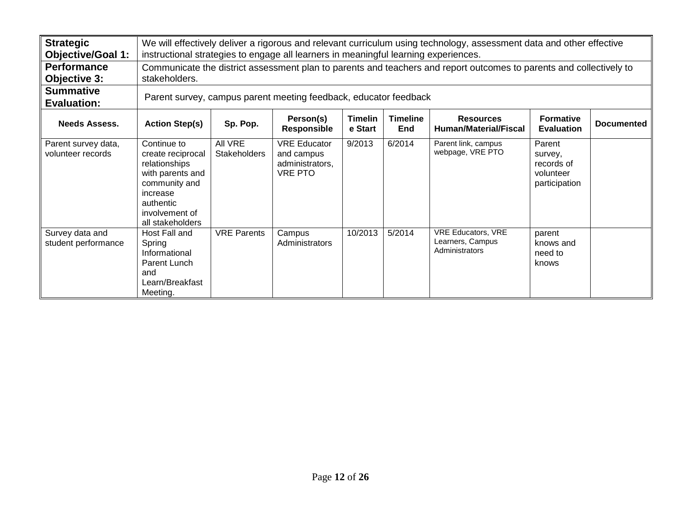| <b>Strategic</b>                         |                                                                                                                                                       | We will effectively deliver a rigorous and relevant curriculum using technology, assessment data and other effective                                                                                                 |                                                                        |         |        |                                                                                                                     |                                                               |  |  |  |  |
|------------------------------------------|-------------------------------------------------------------------------------------------------------------------------------------------------------|----------------------------------------------------------------------------------------------------------------------------------------------------------------------------------------------------------------------|------------------------------------------------------------------------|---------|--------|---------------------------------------------------------------------------------------------------------------------|---------------------------------------------------------------|--|--|--|--|
| <b>Objective/Goal 1:</b>                 |                                                                                                                                                       | instructional strategies to engage all learners in meaningful learning experiences.                                                                                                                                  |                                                                        |         |        |                                                                                                                     |                                                               |  |  |  |  |
| <b>Performance</b>                       |                                                                                                                                                       |                                                                                                                                                                                                                      |                                                                        |         |        | Communicate the district assessment plan to parents and teachers and report outcomes to parents and collectively to |                                                               |  |  |  |  |
| <b>Objective 3:</b>                      | stakeholders.                                                                                                                                         |                                                                                                                                                                                                                      |                                                                        |         |        |                                                                                                                     |                                                               |  |  |  |  |
| <b>Summative</b><br><b>Evaluation:</b>   |                                                                                                                                                       |                                                                                                                                                                                                                      | Parent survey, campus parent meeting feedback, educator feedback       |         |        |                                                                                                                     |                                                               |  |  |  |  |
| <b>Needs Assess.</b>                     | <b>Action Step(s)</b>                                                                                                                                 | Person(s)<br><b>Timeline</b><br><b>Timelin</b><br><b>Resources</b><br><b>Formative</b><br>Sp. Pop.<br><b>Documented</b><br>e Start<br><b>Responsible</b><br><b>Human/Material/Fiscal</b><br>End<br><b>Evaluation</b> |                                                                        |         |        |                                                                                                                     |                                                               |  |  |  |  |
| Parent survey data,<br>volunteer records | Continue to<br>create reciprocal<br>relationships<br>with parents and<br>community and<br>increase<br>authentic<br>involvement of<br>all stakeholders | All VRE<br><b>Stakeholders</b>                                                                                                                                                                                       | <b>VRE Educator</b><br>and campus<br>administrators,<br><b>VRE PTO</b> | 9/2013  | 6/2014 | Parent link, campus<br>webpage, VRE PTO                                                                             | Parent<br>survey,<br>records of<br>volunteer<br>participation |  |  |  |  |
| Survey data and<br>student performance   | Host Fall and<br>Spring<br>Informational<br>Parent Lunch<br>and<br>Learn/Breakfast<br>Meeting.                                                        | <b>VRE Parents</b>                                                                                                                                                                                                   | Campus<br>Administrators                                               | 10/2013 | 5/2014 | <b>VRE Educators, VRE</b><br>Learners, Campus<br>Administrators                                                     | parent<br>knows and<br>need to<br>knows                       |  |  |  |  |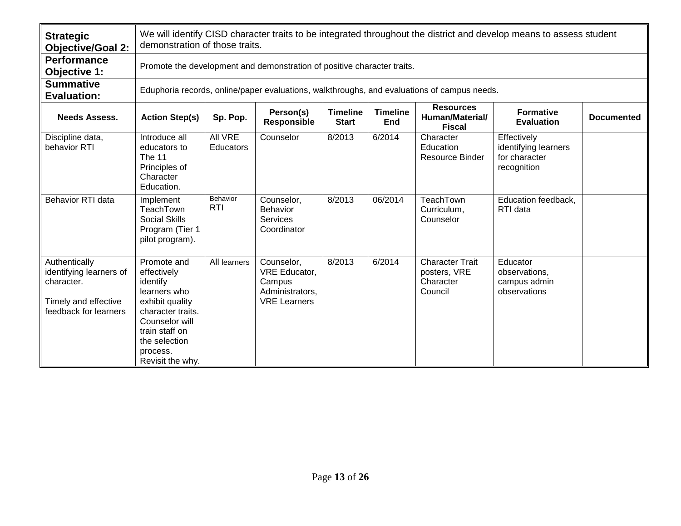| <b>Strategic</b><br><b>Objective/Goal 2:</b>                                                            |                                                                                                                                                                                     | We will identify CISD character traits to be integrated throughout the district and develop means to assess student<br>demonstration of those traits.                                                                   |                                                                                 |        |         |                                                                                             |                                                                     |  |  |  |
|---------------------------------------------------------------------------------------------------------|-------------------------------------------------------------------------------------------------------------------------------------------------------------------------------------|-------------------------------------------------------------------------------------------------------------------------------------------------------------------------------------------------------------------------|---------------------------------------------------------------------------------|--------|---------|---------------------------------------------------------------------------------------------|---------------------------------------------------------------------|--|--|--|
| <b>Performance</b><br>Objective 1:                                                                      |                                                                                                                                                                                     |                                                                                                                                                                                                                         | Promote the development and demonstration of positive character traits.         |        |         |                                                                                             |                                                                     |  |  |  |
| <b>Summative</b><br><b>Evaluation:</b>                                                                  |                                                                                                                                                                                     |                                                                                                                                                                                                                         |                                                                                 |        |         | Eduphoria records, online/paper evaluations, walkthroughs, and evaluations of campus needs. |                                                                     |  |  |  |
| <b>Needs Assess.</b>                                                                                    | <b>Action Step(s)</b>                                                                                                                                                               | <b>Resources</b><br>Person(s)<br><b>Timeline</b><br><b>Timeline</b><br><b>Formative</b><br>Human/Material/<br>Sp. Pop.<br><b>Documented</b><br>Responsible<br><b>Start</b><br>End<br><b>Evaluation</b><br><b>Fiscal</b> |                                                                                 |        |         |                                                                                             |                                                                     |  |  |  |
| Discipline data,<br>behavior RTI                                                                        | Introduce all<br>educators to<br>The 11<br>Principles of<br>Character<br>Education.                                                                                                 | <b>All VRE</b><br>Educators                                                                                                                                                                                             | Counselor                                                                       | 8/2013 | 6/2014  | Character<br>Education<br><b>Resource Binder</b>                                            | Effectively<br>identifying learners<br>for character<br>recognition |  |  |  |
| <b>Behavior RTI data</b>                                                                                | Implement<br>TeachTown<br><b>Social Skills</b><br>Program (Tier 1<br>pilot program).                                                                                                | <b>Behavior</b><br><b>RTI</b>                                                                                                                                                                                           | Counselor,<br>Behavior<br><b>Services</b><br>Coordinator                        | 8/2013 | 06/2014 | TeachTown<br>Curriculum,<br>Counselor                                                       | Education feedback,<br>RTI data                                     |  |  |  |
| Authentically<br>identifying learners of<br>character.<br>Timely and effective<br>feedback for learners | Promote and<br>effectively<br>identify<br>learners who<br>exhibit quality<br>character traits.<br>Counselor will<br>train staff on<br>the selection<br>process.<br>Revisit the why. | All learners                                                                                                                                                                                                            | Counselor,<br>VRE Educator,<br>Campus<br>Administrators,<br><b>VRE Learners</b> | 8/2013 | 6/2014  | <b>Character Trait</b><br>posters, VRE<br>Character<br>Council                              | Educator<br>observations,<br>campus admin<br>observations           |  |  |  |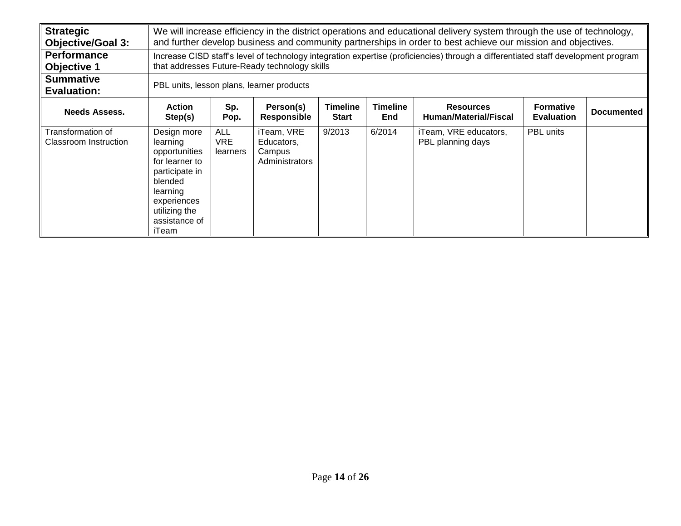| <b>Strategic</b><br><b>Objective/Goal 3:</b> |                                                                                                                                                               | We will increase efficiency in the district operations and educational delivery system through the use of technology,<br>and further develop business and community partnerships in order to best achieve our mission and objectives. |                                                      |        |        |                                                                                                                                    |           |  |  |
|----------------------------------------------|---------------------------------------------------------------------------------------------------------------------------------------------------------------|---------------------------------------------------------------------------------------------------------------------------------------------------------------------------------------------------------------------------------------|------------------------------------------------------|--------|--------|------------------------------------------------------------------------------------------------------------------------------------|-----------|--|--|
| <b>Performance</b><br><b>Objective 1</b>     |                                                                                                                                                               |                                                                                                                                                                                                                                       | that addresses Future-Ready technology skills        |        |        | Increase CISD staff's level of technology integration expertise (proficiencies) through a differentiated staff development program |           |  |  |
| <b>Summative</b><br><b>Evaluation:</b>       |                                                                                                                                                               |                                                                                                                                                                                                                                       | PBL units, lesson plans, learner products            |        |        |                                                                                                                                    |           |  |  |
| <b>Needs Assess.</b>                         | <b>Action</b><br>Step(s)                                                                                                                                      | <b>Timeline</b><br><b>Timeline</b><br>Sp.<br><b>Formative</b><br>Person(s)<br><b>Resources</b><br><b>Documented</b><br><b>Human/Material/Fiscal</b><br>Pop.<br><b>Evaluation</b><br><b>Responsible</b><br><b>Start</b><br>End         |                                                      |        |        |                                                                                                                                    |           |  |  |
| Transformation of<br>Classroom Instruction   | Design more<br>learning<br>opportunities<br>for learner to<br>participate in<br>blended<br>learning<br>experiences<br>utilizing the<br>assistance of<br>iTeam | <b>ALL</b><br><b>VRE</b><br>learners                                                                                                                                                                                                  | iTeam, VRE<br>Educators,<br>Campus<br>Administrators | 9/2013 | 6/2014 | iTeam, VRE educators,<br>PBL planning days                                                                                         | PBL units |  |  |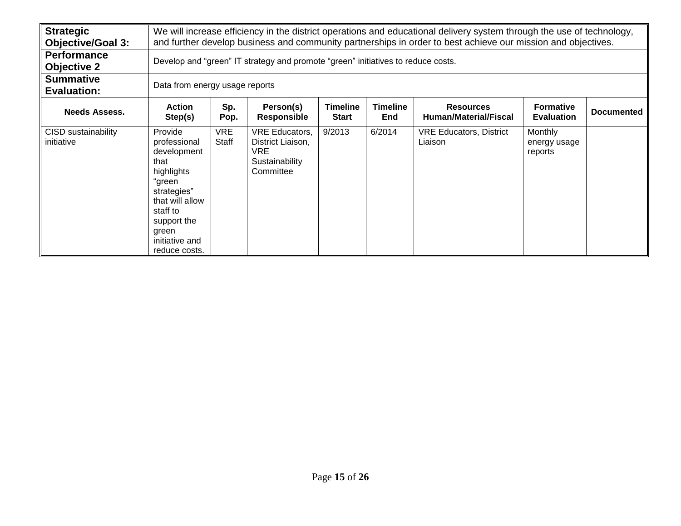| <b>Strategic</b><br><b>Objective/Goal 3:</b> |                                                                                                                                                                                 | We will increase efficiency in the district operations and educational delivery system through the use of technology,<br>and further develop business and community partnerships in order to best achieve our mission and objectives. |                                                                                   |                                 |                               |                                                  |                                           |                   |  |  |
|----------------------------------------------|---------------------------------------------------------------------------------------------------------------------------------------------------------------------------------|---------------------------------------------------------------------------------------------------------------------------------------------------------------------------------------------------------------------------------------|-----------------------------------------------------------------------------------|---------------------------------|-------------------------------|--------------------------------------------------|-------------------------------------------|-------------------|--|--|
| <b>Performance</b><br><b>Objective 2</b>     |                                                                                                                                                                                 |                                                                                                                                                                                                                                       | Develop and "green" IT strategy and promote "green" initiatives to reduce costs.  |                                 |                               |                                                  |                                           |                   |  |  |
| <b>Summative</b><br><b>Evaluation:</b>       | Data from energy usage reports                                                                                                                                                  |                                                                                                                                                                                                                                       |                                                                                   |                                 |                               |                                                  |                                           |                   |  |  |
| <b>Needs Assess.</b>                         | <b>Action</b><br>Step(s)                                                                                                                                                        | Sp.<br>Pop.                                                                                                                                                                                                                           | Person(s)<br><b>Responsible</b>                                                   | <b>Timeline</b><br><b>Start</b> | <b>Timeline</b><br><b>End</b> | <b>Resources</b><br><b>Human/Material/Fiscal</b> | <b>Formative</b><br><b>Evaluation</b>     | <b>Documented</b> |  |  |
| CISD sustainability<br>initiative            | Provide<br>professional<br>development<br>that<br>highlights<br>"green<br>strategies"<br>that will allow<br>staff to<br>support the<br>green<br>initiative and<br>reduce costs. | <b>VRE</b><br>Staff                                                                                                                                                                                                                   | <b>VRE Educators,</b><br>District Liaison,<br>VRE.<br>Sustainability<br>Committee | 9/2013                          | 6/2014                        | <b>VRE Educators, District</b><br>Liaison        | <b>Monthly</b><br>energy usage<br>reports |                   |  |  |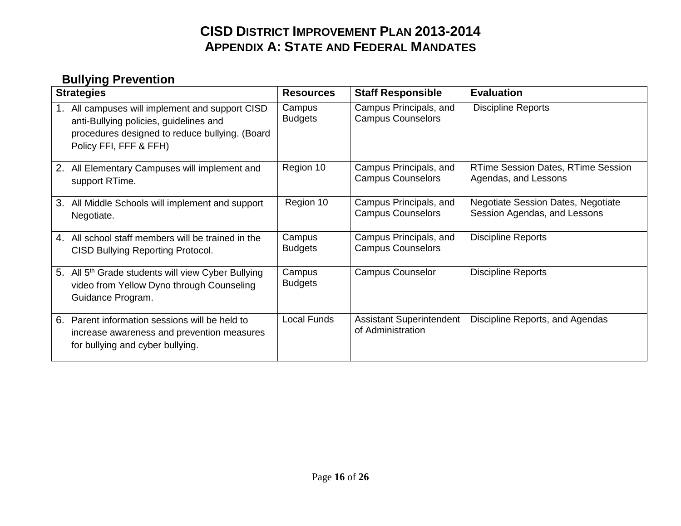## **CISD DISTRICT IMPROVEMENT PLAN 2013-2014 APPENDIX A: STATE AND FEDERAL MANDATES**

## **Bullying Prevention**

| <b>Strategies</b>                                                                                                                                                        | <b>Resources</b>         | <b>Staff Responsible</b>                             | <b>Evaluation</b>                                                         |
|--------------------------------------------------------------------------------------------------------------------------------------------------------------------------|--------------------------|------------------------------------------------------|---------------------------------------------------------------------------|
| All campuses will implement and support CISD<br>1.<br>anti-Bullying policies, guidelines and<br>procedures designed to reduce bullying. (Board<br>Policy FFI, FFF & FFH) | Campus<br><b>Budgets</b> | Campus Principals, and<br><b>Campus Counselors</b>   | <b>Discipline Reports</b>                                                 |
| 2. All Elementary Campuses will implement and<br>support RTime.                                                                                                          | Region 10                | Campus Principals, and<br><b>Campus Counselors</b>   | <b>RTime Session Dates, RTime Session</b><br>Agendas, and Lessons         |
| All Middle Schools will implement and support<br>3.<br>Negotiate.                                                                                                        | Region 10                | Campus Principals, and<br><b>Campus Counselors</b>   | <b>Negotiate Session Dates, Negotiate</b><br>Session Agendas, and Lessons |
| All school staff members will be trained in the<br>4.<br><b>CISD Bullying Reporting Protocol.</b>                                                                        | Campus<br><b>Budgets</b> | Campus Principals, and<br><b>Campus Counselors</b>   | <b>Discipline Reports</b>                                                 |
| 5. All 5 <sup>th</sup> Grade students will view Cyber Bullying<br>video from Yellow Dyno through Counseling<br>Guidance Program.                                         | Campus<br><b>Budgets</b> | <b>Campus Counselor</b>                              | <b>Discipline Reports</b>                                                 |
| Parent information sessions will be held to<br>6.<br>increase awareness and prevention measures<br>for bullying and cyber bullying.                                      | <b>Local Funds</b>       | <b>Assistant Superintendent</b><br>of Administration | Discipline Reports, and Agendas                                           |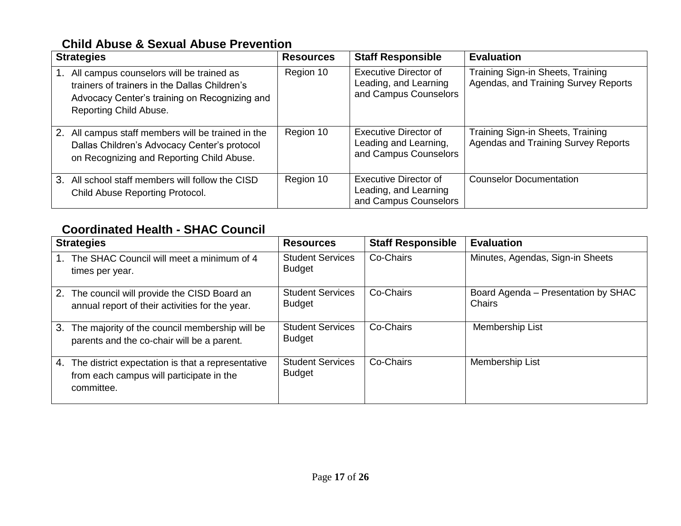#### **Child Abuse & Sexual Abuse Prevention**

| <b>Strategies</b>                                                                                                                                                    | <b>Resources</b> | <b>Staff Responsible</b>                                                       | <b>Evaluation</b>                                                               |
|----------------------------------------------------------------------------------------------------------------------------------------------------------------------|------------------|--------------------------------------------------------------------------------|---------------------------------------------------------------------------------|
| All campus counselors will be trained as<br>trainers of trainers in the Dallas Children's<br>Advocacy Center's training on Recognizing and<br>Reporting Child Abuse. | Region 10        | <b>Executive Director of</b><br>Leading, and Learning<br>and Campus Counselors | Training Sign-in Sheets, Training<br>Agendas, and Training Survey Reports       |
| 2.<br>All campus staff members will be trained in the<br>Dallas Children's Advocacy Center's protocol<br>on Recognizing and Reporting Child Abuse.                   | Region 10        | Executive Director of<br>Leading and Learning,<br>and Campus Counselors        | Training Sign-in Sheets, Training<br><b>Agendas and Training Survey Reports</b> |
| 3. All school staff members will follow the CISD<br>Child Abuse Reporting Protocol.                                                                                  | Region 10        | Executive Director of<br>Leading, and Learning<br>and Campus Counselors        | <b>Counselor Documentation</b>                                                  |

#### **Coordinated Health - SHAC Council**

| <b>Strategies</b>                                                                                                 | <b>Resources</b>                         | <b>Staff Responsible</b> | <b>Evaluation</b>                                    |
|-------------------------------------------------------------------------------------------------------------------|------------------------------------------|--------------------------|------------------------------------------------------|
| The SHAC Council will meet a minimum of 4<br>times per year.                                                      | <b>Student Services</b><br><b>Budget</b> | Co-Chairs                | Minutes, Agendas, Sign-in Sheets                     |
| The council will provide the CISD Board an<br>2.<br>annual report of their activities for the year.               | <b>Student Services</b><br><b>Budget</b> | Co-Chairs                | Board Agenda - Presentation by SHAC<br><b>Chairs</b> |
| The majority of the council membership will be<br>3.<br>parents and the co-chair will be a parent.                | <b>Student Services</b><br><b>Budget</b> | Co-Chairs                | Membership List                                      |
| The district expectation is that a representative<br>4.<br>from each campus will participate in the<br>committee. | <b>Student Services</b><br><b>Budget</b> | Co-Chairs                | Membership List                                      |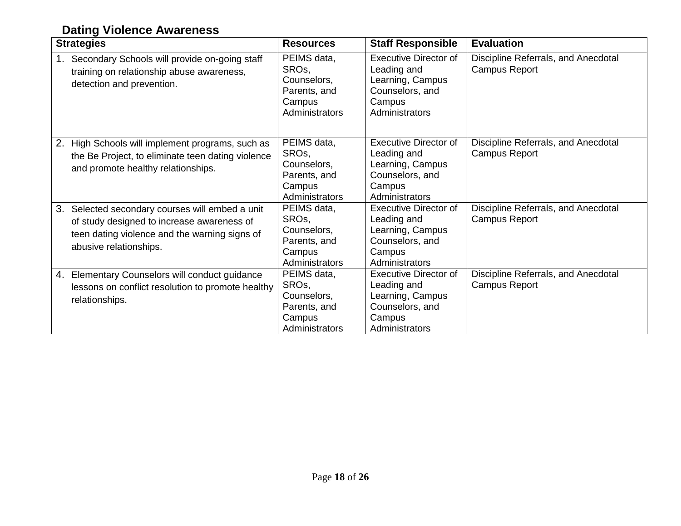## **Dating Violence Awareness**

| <b>Strategies</b>                                                                                                                                                           | <b>Resources</b>                                                                             | <b>Staff Responsible</b>                                                                                       | <b>Evaluation</b>                                           |
|-----------------------------------------------------------------------------------------------------------------------------------------------------------------------------|----------------------------------------------------------------------------------------------|----------------------------------------------------------------------------------------------------------------|-------------------------------------------------------------|
| Secondary Schools will provide on-going staff<br>1.<br>training on relationship abuse awareness,<br>detection and prevention.                                               | PEIMS data,<br>SRO <sub>s</sub><br>Counselors,<br>Parents, and<br>Campus<br>Administrators   | <b>Executive Director of</b><br>Leading and<br>Learning, Campus<br>Counselors, and<br>Campus<br>Administrators | Discipline Referrals, and Anecdotal<br><b>Campus Report</b> |
| High Schools will implement programs, such as<br>2.<br>the Be Project, to eliminate teen dating violence<br>and promote healthy relationships.                              | PEIMS data,<br>SRO <sub>s</sub> ,<br>Counselors,<br>Parents, and<br>Campus<br>Administrators | <b>Executive Director of</b><br>Leading and<br>Learning, Campus<br>Counselors, and<br>Campus<br>Administrators | Discipline Referrals, and Anecdotal<br><b>Campus Report</b> |
| Selected secondary courses will embed a unit<br>3.<br>of study designed to increase awareness of<br>teen dating violence and the warning signs of<br>abusive relationships. | PEIMS data,<br>SRO <sub>s</sub> ,<br>Counselors,<br>Parents, and<br>Campus<br>Administrators | <b>Executive Director of</b><br>Leading and<br>Learning, Campus<br>Counselors, and<br>Campus<br>Administrators | Discipline Referrals, and Anecdotal<br><b>Campus Report</b> |
| Elementary Counselors will conduct guidance<br>4.<br>lessons on conflict resolution to promote healthy<br>relationships.                                                    | PEIMS data,<br>SRO <sub>s</sub> ,<br>Counselors,<br>Parents, and<br>Campus<br>Administrators | <b>Executive Director of</b><br>Leading and<br>Learning, Campus<br>Counselors, and<br>Campus<br>Administrators | Discipline Referrals, and Anecdotal<br><b>Campus Report</b> |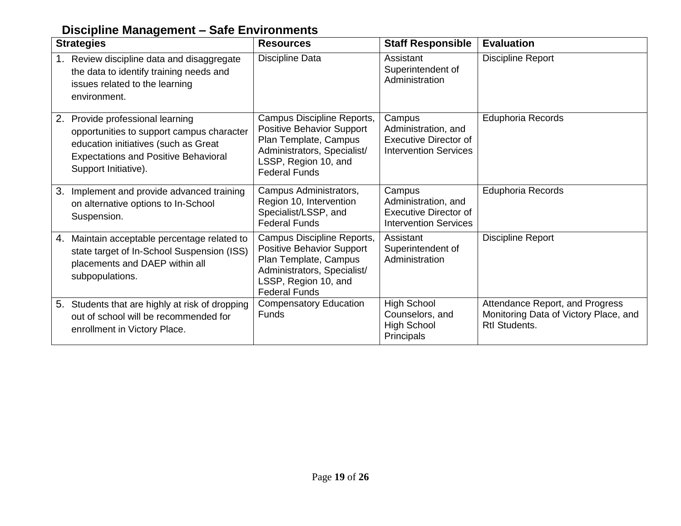### **Discipline Management – Safe Environments**

| <b>Strategies</b>                                                                                                                                                                               | <b>Resources</b>                                                                                                                                                       | <b>Staff Responsible</b>                                                                      | <b>Evaluation</b>                                                                                |
|-------------------------------------------------------------------------------------------------------------------------------------------------------------------------------------------------|------------------------------------------------------------------------------------------------------------------------------------------------------------------------|-----------------------------------------------------------------------------------------------|--------------------------------------------------------------------------------------------------|
| Review discipline data and disaggregate<br>the data to identify training needs and<br>issues related to the learning<br>environment.                                                            | Discipline Data                                                                                                                                                        | Assistant<br>Superintendent of<br>Administration                                              | <b>Discipline Report</b>                                                                         |
| Provide professional learning<br>2.<br>opportunities to support campus character<br>education initiatives (such as Great<br><b>Expectations and Positive Behavioral</b><br>Support Initiative). | Campus Discipline Reports,<br><b>Positive Behavior Support</b><br>Plan Template, Campus<br>Administrators, Specialist/<br>LSSP, Region 10, and<br><b>Federal Funds</b> | Campus<br>Administration, and<br><b>Executive Director of</b><br><b>Intervention Services</b> | <b>Eduphoria Records</b>                                                                         |
| Implement and provide advanced training<br>3.<br>on alternative options to In-School<br>Suspension.                                                                                             | Campus Administrators,<br>Region 10, Intervention<br>Specialist/LSSP, and<br><b>Federal Funds</b>                                                                      | Campus<br>Administration, and<br><b>Executive Director of</b><br><b>Intervention Services</b> | <b>Eduphoria Records</b>                                                                         |
| Maintain acceptable percentage related to<br>4.<br>state target of In-School Suspension (ISS)<br>placements and DAEP within all<br>subpopulations.                                              | Campus Discipline Reports,<br><b>Positive Behavior Support</b><br>Plan Template, Campus<br>Administrators, Specialist/<br>LSSP, Region 10, and<br><b>Federal Funds</b> | Assistant<br>Superintendent of<br>Administration                                              | <b>Discipline Report</b>                                                                         |
| 5. Students that are highly at risk of dropping<br>out of school will be recommended for<br>enrollment in Victory Place.                                                                        | <b>Compensatory Education</b><br><b>Funds</b>                                                                                                                          | <b>High School</b><br>Counselors, and<br><b>High School</b><br>Principals                     | Attendance Report, and Progress<br>Monitoring Data of Victory Place, and<br><b>Rtl Students.</b> |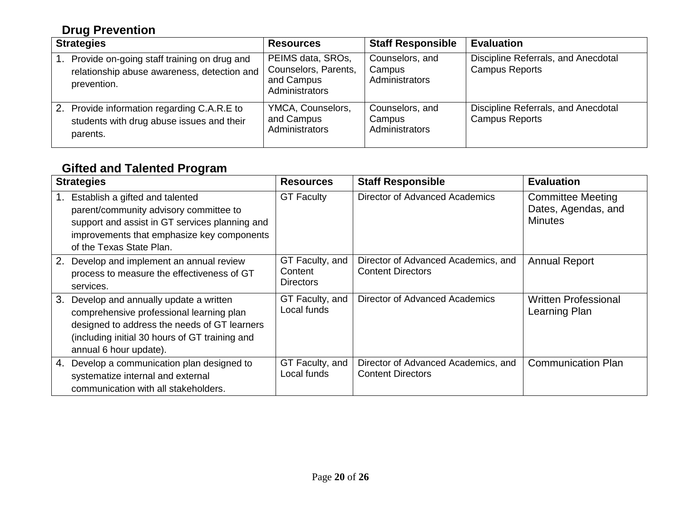## **Drug Prevention**

| <b>Strategies</b>                                                                                               | <b>Resources</b>                                                          | <b>Staff Responsible</b>                    | <b>Evaluation</b>                                            |
|-----------------------------------------------------------------------------------------------------------------|---------------------------------------------------------------------------|---------------------------------------------|--------------------------------------------------------------|
| Provide on-going staff training on drug and<br>1.<br>relationship abuse awareness, detection and<br>prevention. | PEIMS data, SROs,<br>Counselors, Parents,<br>and Campus<br>Administrators | Counselors, and<br>Campus<br>Administrators | Discipline Referrals, and Anecdotal<br><b>Campus Reports</b> |
| 2. Provide information regarding C.A.R.E to<br>students with drug abuse issues and their<br>parents.            | YMCA, Counselors,<br>and Campus<br>Administrators                         | Counselors, and<br>Campus<br>Administrators | Discipline Referrals, and Anecdotal<br><b>Campus Reports</b> |

## **Gifted and Talented Program**

|    | <b>Strategies</b>                                                                                                                                                                                             | <b>Resources</b>                        | <b>Staff Responsible</b>                                        | <b>Evaluation</b>                                                 |
|----|---------------------------------------------------------------------------------------------------------------------------------------------------------------------------------------------------------------|-----------------------------------------|-----------------------------------------------------------------|-------------------------------------------------------------------|
|    | Establish a gifted and talented<br>parent/community advisory committee to<br>support and assist in GT services planning and<br>improvements that emphasize key components<br>of the Texas State Plan.         | <b>GT Faculty</b>                       | Director of Advanced Academics                                  | <b>Committee Meeting</b><br>Dates, Agendas, and<br><b>Minutes</b> |
| 2. | Develop and implement an annual review<br>process to measure the effectiveness of GT<br>services.                                                                                                             | GT Faculty, and<br>Content<br>Directors | Director of Advanced Academics, and<br><b>Content Directors</b> | <b>Annual Report</b>                                              |
| 3. | Develop and annually update a written<br>comprehensive professional learning plan<br>designed to address the needs of GT learners<br>(including initial 30 hours of GT training and<br>annual 6 hour update). | GT Faculty, and<br>Local funds          | Director of Advanced Academics                                  | <b>Written Professional</b><br>Learning Plan                      |
| 4. | Develop a communication plan designed to<br>systematize internal and external<br>communication with all stakeholders.                                                                                         | GT Faculty, and<br>Local funds          | Director of Advanced Academics, and<br><b>Content Directors</b> | <b>Communication Plan</b>                                         |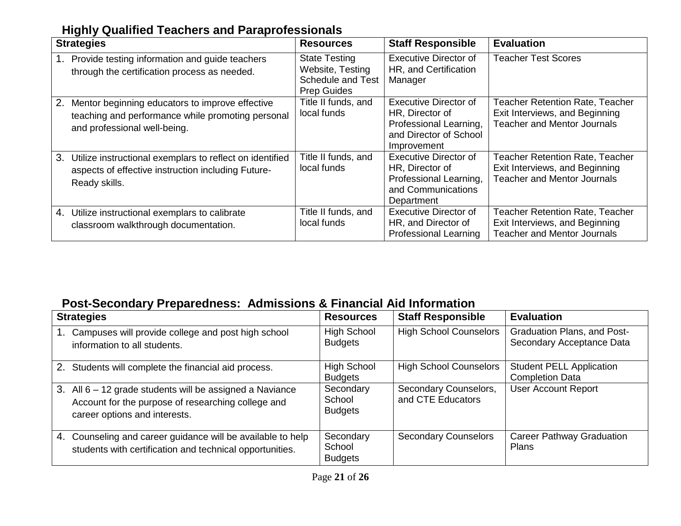#### **Highly Qualified Teachers and Paraprofessionals**

| <b>Strategies</b>                                                                                                                          | <b>Resources</b>                                                                           | <b>Staff Responsible</b>                                                                                           | <b>Evaluation</b>                                                                                              |
|--------------------------------------------------------------------------------------------------------------------------------------------|--------------------------------------------------------------------------------------------|--------------------------------------------------------------------------------------------------------------------|----------------------------------------------------------------------------------------------------------------|
| Provide testing information and guide teachers<br>1.<br>through the certification process as needed.                                       | <b>State Testing</b><br>Website, Testing<br><b>Schedule and Test</b><br><b>Prep Guides</b> | <b>Executive Director of</b><br>HR, and Certification<br>Manager                                                   | <b>Teacher Test Scores</b>                                                                                     |
| 2.<br>Mentor beginning educators to improve effective<br>teaching and performance while promoting personal<br>and professional well-being. | Title II funds, and<br>local funds                                                         | <b>Executive Director of</b><br>HR, Director of<br>Professional Learning,<br>and Director of School<br>Improvement | Teacher Retention Rate, Teacher<br>Exit Interviews, and Beginning<br><b>Teacher and Mentor Journals</b>        |
| 3.<br>Utilize instructional exemplars to reflect on identified<br>aspects of effective instruction including Future-<br>Ready skills.      | Title II funds, and<br>local funds                                                         | <b>Executive Director of</b><br>HR, Director of<br>Professional Learning,<br>and Communications<br>Department      | <b>Teacher Retention Rate, Teacher</b><br>Exit Interviews, and Beginning<br><b>Teacher and Mentor Journals</b> |
| 4.<br>Utilize instructional exemplars to calibrate<br>classroom walkthrough documentation.                                                 | Title II funds, and<br>local funds                                                         | <b>Executive Director of</b><br>HR, and Director of<br><b>Professional Learning</b>                                | <b>Teacher Retention Rate, Teacher</b><br>Exit Interviews, and Beginning<br><b>Teacher and Mentor Journals</b> |

#### **Post-Secondary Preparedness: Admissions & Financial Aid Information**

| <b>Strategies</b>                                                                                                                               | <b>Resources</b>                      | <b>Staff Responsible</b>                   | <b>Evaluation</b>                                         |
|-------------------------------------------------------------------------------------------------------------------------------------------------|---------------------------------------|--------------------------------------------|-----------------------------------------------------------|
| Campuses will provide college and post high school<br>information to all students.                                                              | <b>High School</b><br><b>Budgets</b>  | <b>High School Counselors</b>              | Graduation Plans, and Post-<br>Secondary Acceptance Data  |
| 2.<br>Students will complete the financial aid process.                                                                                         | <b>High School</b><br><b>Budgets</b>  | <b>High School Counselors</b>              | <b>Student PELL Application</b><br><b>Completion Data</b> |
| 3. All 6 - 12 grade students will be assigned a Naviance<br>Account for the purpose of researching college and<br>career options and interests. | Secondary<br>School<br><b>Budgets</b> | Secondary Counselors,<br>and CTE Educators | <b>User Account Report</b>                                |
| 4. Counseling and career guidance will be available to help<br>students with certification and technical opportunities.                         | Secondary<br>School<br><b>Budgets</b> | <b>Secondary Counselors</b>                | <b>Career Pathway Graduation</b><br><b>Plans</b>          |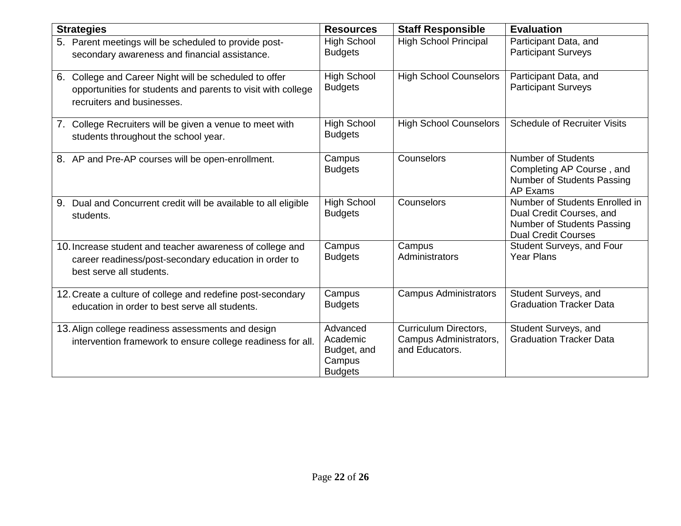| <b>Strategies</b>                                                                                                                                       | <b>Resources</b>                                                | <b>Staff Responsible</b>                                          | <b>Evaluation</b>                                                                                                      |
|---------------------------------------------------------------------------------------------------------------------------------------------------------|-----------------------------------------------------------------|-------------------------------------------------------------------|------------------------------------------------------------------------------------------------------------------------|
| 5. Parent meetings will be scheduled to provide post-<br>secondary awareness and financial assistance.                                                  | <b>High School</b><br><b>Budgets</b>                            | <b>High School Principal</b>                                      | Participant Data, and<br><b>Participant Surveys</b>                                                                    |
| College and Career Night will be scheduled to offer<br>6.<br>opportunities for students and parents to visit with college<br>recruiters and businesses. | <b>High School</b><br><b>Budgets</b>                            | <b>High School Counselors</b>                                     | Participant Data, and<br><b>Participant Surveys</b>                                                                    |
| 7. College Recruiters will be given a venue to meet with<br>students throughout the school year.                                                        | <b>High School</b><br><b>Budgets</b>                            | <b>High School Counselors</b>                                     | <b>Schedule of Recruiter Visits</b>                                                                                    |
| 8. AP and Pre-AP courses will be open-enrollment.                                                                                                       | Campus<br><b>Budgets</b>                                        | Counselors                                                        | <b>Number of Students</b><br>Completing AP Course, and<br>Number of Students Passing<br>AP Exams                       |
| Dual and Concurrent credit will be available to all eligible<br>9.<br>students.                                                                         | <b>High School</b><br><b>Budgets</b>                            | Counselors                                                        | Number of Students Enrolled in<br>Dual Credit Courses, and<br>Number of Students Passing<br><b>Dual Credit Courses</b> |
| 10. Increase student and teacher awareness of college and<br>career readiness/post-secondary education in order to<br>best serve all students.          | Campus<br><b>Budgets</b>                                        | Campus<br>Administrators                                          | Student Surveys, and Four<br><b>Year Plans</b>                                                                         |
| 12. Create a culture of college and redefine post-secondary<br>education in order to best serve all students.                                           | Campus<br><b>Budgets</b>                                        | <b>Campus Administrators</b>                                      | Student Surveys, and<br><b>Graduation Tracker Data</b>                                                                 |
| 13. Align college readiness assessments and design<br>intervention framework to ensure college readiness for all.                                       | Advanced<br>Academic<br>Budget, and<br>Campus<br><b>Budgets</b> | Curriculum Directors,<br>Campus Administrators,<br>and Educators. | Student Surveys, and<br><b>Graduation Tracker Data</b>                                                                 |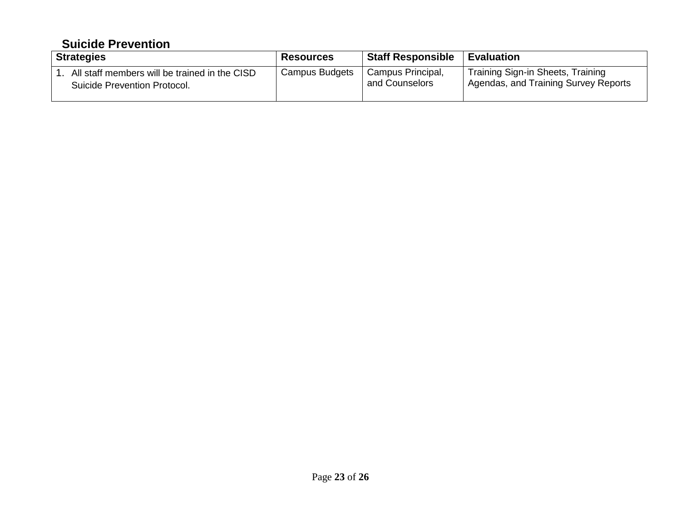#### **Suicide Prevention**

| <b>Strategies</b>                             | <b>Resources</b> | <b>Staff Responsible</b> | <b>Evaluation</b>                                 |
|-----------------------------------------------|------------------|--------------------------|---------------------------------------------------|
| All staff members will be trained in the CISD | Campus Budgets   | Campus Principal,        | Training Sign-in Sheets, Training                 |
| Suicide Prevention Protocol.                  |                  | and Counselors           | <sup>1</sup> Agendas, and Training Survey Reports |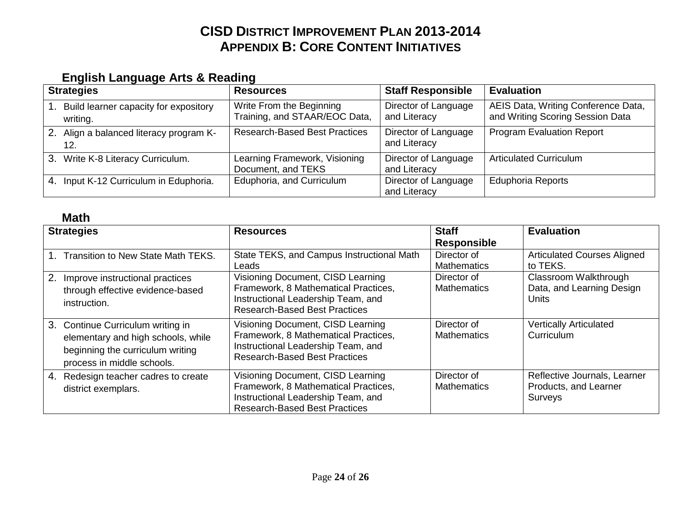## **CISD DISTRICT IMPROVEMENT PLAN 2013-2014 APPENDIX B: CORE CONTENT INITIATIVES**

#### **English Language Arts & Reading**

| <b>Strategies</b>                                    | <b>Resources</b>                                          | <b>Staff Responsible</b>             | <b>Evaluation</b>                                                       |
|------------------------------------------------------|-----------------------------------------------------------|--------------------------------------|-------------------------------------------------------------------------|
| 1. Build learner capacity for expository<br>writing. | Write From the Beginning<br>Training, and STAAR/EOC Data, | Director of Language<br>and Literacy | AEIS Data, Writing Conference Data,<br>and Writing Scoring Session Data |
| 2. Align a balanced literacy program K-<br>12.       | <b>Research-Based Best Practices</b>                      | Director of Language<br>and Literacy | <b>Program Evaluation Report</b>                                        |
| 3. Write K-8 Literacy Curriculum.                    | Learning Framework, Visioning<br>Document, and TEKS       | Director of Language<br>and Literacy | <b>Articulated Curriculum</b>                                           |
| 4. Input K-12 Curriculum in Eduphoria.               | Eduphoria, and Curriculum                                 | Director of Language<br>and Literacy | <b>Eduphoria Reports</b>                                                |

#### **Math**

| <b>Strategies</b>                                                                                                                         | <b>Resources</b>                                                                                                                                        | <b>Staff</b>                      | <b>Evaluation</b>                                                       |
|-------------------------------------------------------------------------------------------------------------------------------------------|---------------------------------------------------------------------------------------------------------------------------------------------------------|-----------------------------------|-------------------------------------------------------------------------|
|                                                                                                                                           |                                                                                                                                                         | <b>Responsible</b>                |                                                                         |
| <b>Transition to New State Math TEKS.</b>                                                                                                 | State TEKS, and Campus Instructional Math<br>Leads                                                                                                      | Director of<br><b>Mathematics</b> | <b>Articulated Courses Aligned</b><br>to TEKS.                          |
| 2.<br>Improve instructional practices<br>through effective evidence-based<br>instruction.                                                 | Visioning Document, CISD Learning<br>Framework, 8 Mathematical Practices,<br>Instructional Leadership Team, and<br><b>Research-Based Best Practices</b> | Director of<br><b>Mathematics</b> | Classroom Walkthrough<br>Data, and Learning Design<br>Units             |
| 3. Continue Curriculum writing in<br>elementary and high schools, while<br>beginning the curriculum writing<br>process in middle schools. | Visioning Document, CISD Learning<br>Framework, 8 Mathematical Practices,<br>Instructional Leadership Team, and<br><b>Research-Based Best Practices</b> | Director of<br><b>Mathematics</b> | <b>Vertically Articulated</b><br>Curriculum                             |
| 4. Redesign teacher cadres to create<br>district exemplars.                                                                               | Visioning Document, CISD Learning<br>Framework, 8 Mathematical Practices,<br>Instructional Leadership Team, and<br><b>Research-Based Best Practices</b> | Director of<br><b>Mathematics</b> | Reflective Journals, Learner<br>Products, and Learner<br><b>Surveys</b> |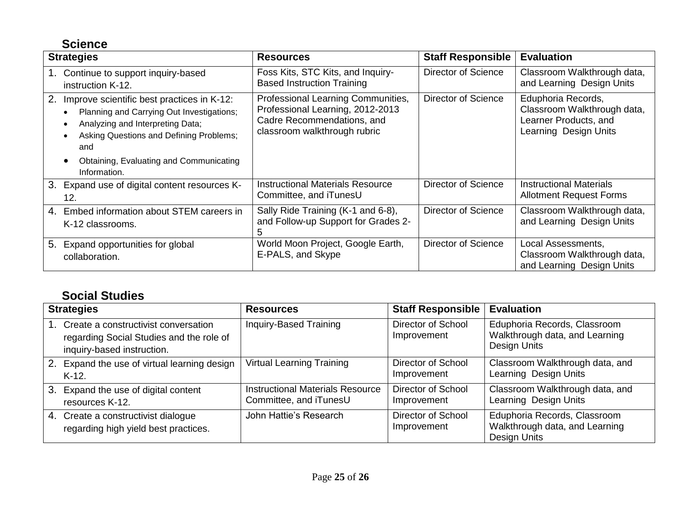### **Science**

| <b>Strategies</b>                                                                                                                                                                                                                              | <b>Resources</b>                                                                                                                     | <b>Staff Responsible</b>   | <b>Evaluation</b>                                                                                   |
|------------------------------------------------------------------------------------------------------------------------------------------------------------------------------------------------------------------------------------------------|--------------------------------------------------------------------------------------------------------------------------------------|----------------------------|-----------------------------------------------------------------------------------------------------|
| Continue to support inquiry-based<br>instruction K-12.                                                                                                                                                                                         | Foss Kits, STC Kits, and Inquiry-<br><b>Based Instruction Training</b>                                                               | Director of Science        | Classroom Walkthrough data,<br>and Learning Design Units                                            |
| 2.<br>Improve scientific best practices in K-12:<br>Planning and Carrying Out Investigations;<br>Analyzing and Interpreting Data;<br>Asking Questions and Defining Problems;<br>and<br>Obtaining, Evaluating and Communicating<br>Information. | Professional Learning Communities,<br>Professional Learning, 2012-2013<br>Cadre Recommendations, and<br>classroom walkthrough rubric | Director of Science        | Eduphoria Records,<br>Classroom Walkthrough data,<br>Learner Products, and<br>Learning Design Units |
| 3.<br>Expand use of digital content resources K-<br>12.                                                                                                                                                                                        | <b>Instructional Materials Resource</b><br>Committee, and iTunesU                                                                    | <b>Director of Science</b> | <b>Instructional Materials</b><br><b>Allotment Request Forms</b>                                    |
| Embed information about STEM careers in<br>4.<br>K-12 classrooms.                                                                                                                                                                              | Sally Ride Training (K-1 and 6-8),<br>and Follow-up Support for Grades 2-                                                            | Director of Science        | Classroom Walkthrough data,<br>and Learning Design Units                                            |
| 5.<br>Expand opportunities for global<br>collaboration.                                                                                                                                                                                        | World Moon Project, Google Earth,<br>E-PALS, and Skype                                                                               | Director of Science        | Local Assessments,<br>Classroom Walkthrough data,<br>and Learning Design Units                      |

### **Social Studies**

| <b>Strategies</b>                                                                                              | <b>Resources</b>                                                  | <b>Staff Responsible</b>                 | <b>Evaluation</b>                                                              |
|----------------------------------------------------------------------------------------------------------------|-------------------------------------------------------------------|------------------------------------------|--------------------------------------------------------------------------------|
| Create a constructivist conversation<br>regarding Social Studies and the role of<br>inquiry-based instruction. | Inquiry-Based Training                                            | <b>Director of School</b><br>Improvement | Eduphoria Records, Classroom<br>Walkthrough data, and Learning<br>Design Units |
| 2. Expand the use of virtual learning design<br>$K-12$ .                                                       | <b>Virtual Learning Training</b>                                  | <b>Director of School</b><br>Improvement | Classroom Walkthrough data, and<br>Learning Design Units                       |
| 3. Expand the use of digital content<br>resources K-12.                                                        | <b>Instructional Materials Resource</b><br>Committee, and iTunesU | Director of School<br>Improvement        | Classroom Walkthrough data, and<br>Learning Design Units                       |
| 4. Create a constructivist dialogue<br>regarding high yield best practices.                                    | John Hattie's Research                                            | Director of School<br>Improvement        | Eduphoria Records, Classroom<br>Walkthrough data, and Learning<br>Design Units |